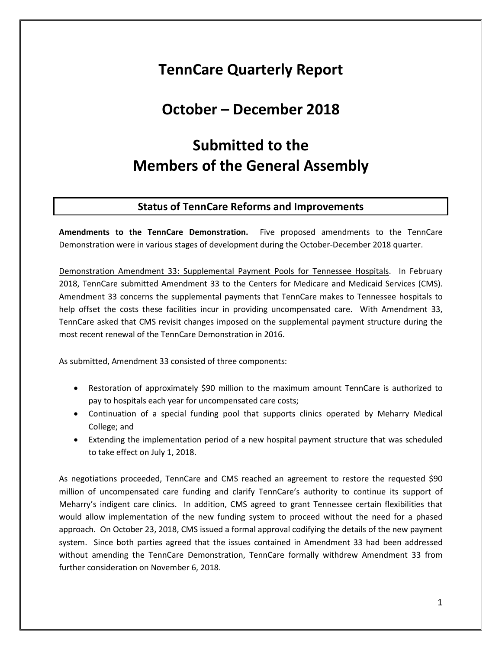# **TennCare Quarterly Report**

## **October – December 2018**

# **Submitted to the Members of the General Assembly**

#### **Status of TennCare Reforms and Improvements**

**Amendments to the TennCare Demonstration.** Five proposed amendments to the TennCare Demonstration were in various stages of development during the October-December 2018 quarter.

Demonstration Amendment 33: Supplemental Payment Pools for Tennessee Hospitals. In February 2018, TennCare submitted Amendment 33 to the Centers for Medicare and Medicaid Services (CMS). Amendment 33 concerns the supplemental payments that TennCare makes to Tennessee hospitals to help offset the costs these facilities incur in providing uncompensated care. With Amendment 33, TennCare asked that CMS revisit changes imposed on the supplemental payment structure during the most recent renewal of the TennCare Demonstration in 2016.

As submitted, Amendment 33 consisted of three components:

- Restoration of approximately \$90 million to the maximum amount TennCare is authorized to pay to hospitals each year for uncompensated care costs;
- Continuation of a special funding pool that supports clinics operated by Meharry Medical College; and
- Extending the implementation period of a new hospital payment structure that was scheduled to take effect on July 1, 2018.

As negotiations proceeded, TennCare and CMS reached an agreement to restore the requested \$90 million of uncompensated care funding and clarify TennCare's authority to continue its support of Meharry's indigent care clinics. In addition, CMS agreed to grant Tennessee certain flexibilities that would allow implementation of the new funding system to proceed without the need for a phased approach. On October 23, 2018, CMS issued a formal approval codifying the details of the new payment system. Since both parties agreed that the issues contained in Amendment 33 had been addressed without amending the TennCare Demonstration, TennCare formally withdrew Amendment 33 from further consideration on November 6, 2018.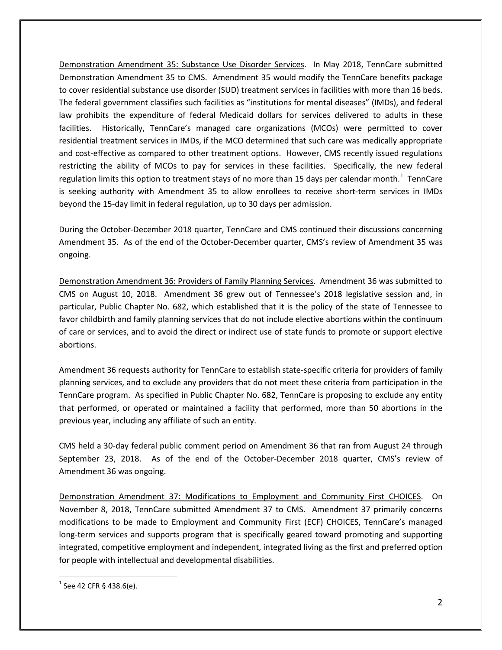Demonstration Amendment 35: Substance Use Disorder Services. In May 2018, TennCare submitted Demonstration Amendment 35 to CMS. Amendment 35 would modify the TennCare benefits package to cover residential substance use disorder (SUD) treatment services in facilities with more than 16 beds. The federal government classifies such facilities as "institutions for mental diseases" (IMDs), and federal law prohibits the expenditure of federal Medicaid dollars for services delivered to adults in these facilities. Historically, TennCare's managed care organizations (MCOs) were permitted to cover residential treatment services in IMDs, if the MCO determined that such care was medically appropriate and cost-effective as compared to other treatment options. However, CMS recently issued regulations restricting the ability of MCOs to pay for services in these facilities. Specifically, the new federal regulation limits this option to treatment stays of no more than [1](#page-1-0)5 days per calendar month.<sup>1</sup> TennCare is seeking authority with Amendment 35 to allow enrollees to receive short-term services in IMDs beyond the 15-day limit in federal regulation, up to 30 days per admission.

During the October-December 2018 quarter, TennCare and CMS continued their discussions concerning Amendment 35. As of the end of the October-December quarter, CMS's review of Amendment 35 was ongoing.

Demonstration Amendment 36: Providers of Family Planning Services. Amendment 36 was submitted to CMS on August 10, 2018. Amendment 36 grew out of Tennessee's 2018 legislative session and, in particular, Public Chapter No. 682, which established that it is the policy of the state of Tennessee to favor childbirth and family planning services that do not include elective abortions within the continuum of care or services, and to avoid the direct or indirect use of state funds to promote or support elective abortions.

Amendment 36 requests authority for TennCare to establish state-specific criteria for providers of family planning services, and to exclude any providers that do not meet these criteria from participation in the TennCare program. As specified in Public Chapter No. 682, TennCare is proposing to exclude any entity that performed, or operated or maintained a facility that performed, more than 50 abortions in the previous year, including any affiliate of such an entity.

CMS held a 30-day federal public comment period on Amendment 36 that ran from August 24 through September 23, 2018. As of the end of the October-December 2018 quarter, CMS's review of Amendment 36 was ongoing.

Demonstration Amendment 37: Modifications to Employment and Community First CHOICES. On November 8, 2018, TennCare submitted Amendment 37 to CMS. Amendment 37 primarily concerns modifications to be made to Employment and Community First (ECF) CHOICES, TennCare's managed long-term services and supports program that is specifically geared toward promoting and supporting integrated, competitive employment and independent, integrated living as the first and preferred option for people with intellectual and developmental disabilities.

<span id="page-1-0"></span> $^{1}$  See 42 CFR § 438.6(e).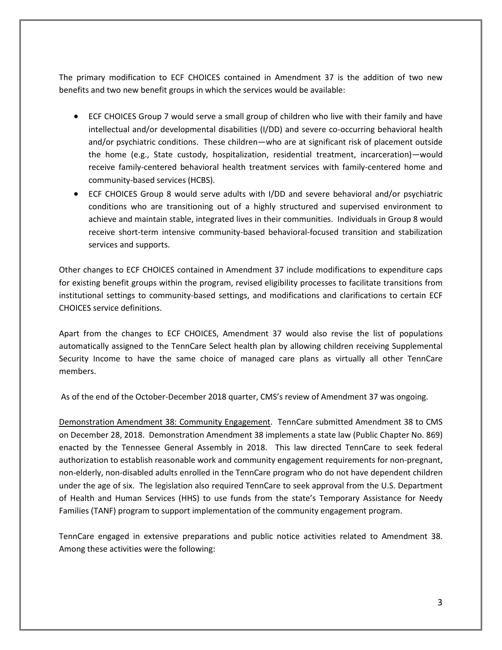The primary modification to ECF CHOICES contained in Amendment 37 is the addition of two new benefits and two new benefit groups in which the services would be available:

- ECF CHOICES Group 7 would serve a small group of children who live with their family and have intellectual and/or developmental disabilities (I/DD) and severe co-occurring behavioral health and/or psychiatric conditions. These children—who are at significant risk of placement outside the home (e.g., State custody, hospitalization, residential treatment, incarceration)—would receive family-centered behavioral health treatment services with family-centered home and community-based services (HCBS).
- ECF CHOICES Group 8 would serve adults with I/DD and severe behavioral and/or psychiatric conditions who are transitioning out of a highly structured and supervised environment to achieve and maintain stable, integrated lives in their communities. Individuals in Group 8 would receive short-term intensive community-based behavioral-focused transition and stabilization services and supports.

Other changes to ECF CHOICES contained in Amendment 37 include modifications to expenditure caps for existing benefit groups within the program, revised eligibility processes to facilitate transitions from institutional settings to community-based settings, and modifications and clarifications to certain ECF CHOICES service definitions.

Apart from the changes to ECF CHOICES, Amendment 37 would also revise the list of populations automatically assigned to the TennCare Select health plan by allowing children receiving Supplemental Security Income to have the same choice of managed care plans as virtually all other TennCare members.

As of the end of the October-December 2018 quarter, CMS's review of Amendment 37 was ongoing.

Demonstration Amendment 38: Community Engagement. TennCare submitted Amendment 38 to CMS on December 28, 2018. Demonstration Amendment 38 implements a state law (Public Chapter No. 869) enacted by the Tennessee General Assembly in 2018. This law directed TennCare to seek federal authorization to establish reasonable work and community engagement requirements for non-pregnant, non-elderly, non-disabled adults enrolled in the TennCare program who do not have dependent children under the age of six. The legislation also required TennCare to seek approval from the U.S. Department of Health and Human Services (HHS) to use funds from the state's Temporary Assistance for Needy Families (TANF) program to support implementation of the community engagement program.

TennCare engaged in extensive preparations and public notice activities related to Amendment 38. Among these activities were the following: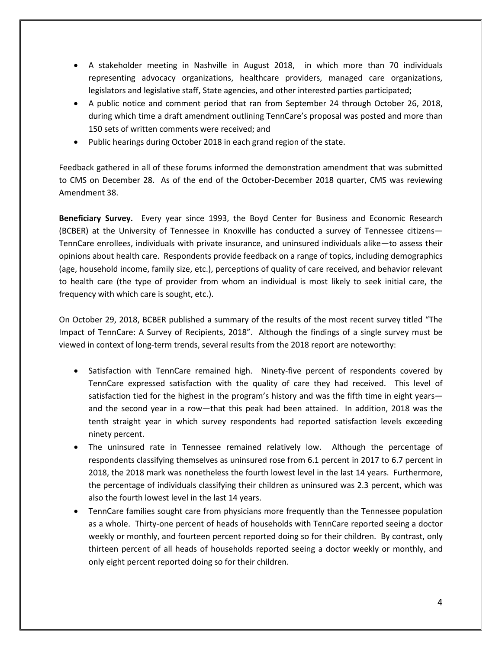- A stakeholder meeting in Nashville in August 2018, in which more than 70 individuals representing advocacy organizations, healthcare providers, managed care organizations, legislators and legislative staff, State agencies, and other interested parties participated;
- A public notice and comment period that ran from September 24 through October 26, 2018, during which time a draft amendment outlining TennCare's proposal was posted and more than 150 sets of written comments were received; and
- Public hearings during October 2018 in each grand region of the state.

Feedback gathered in all of these forums informed the demonstration amendment that was submitted to CMS on December 28. As of the end of the October-December 2018 quarter, CMS was reviewing Amendment 38.

**Beneficiary Survey.** Every year since 1993, the Boyd Center for Business and Economic Research (BCBER) at the University of Tennessee in Knoxville has conducted a survey of Tennessee citizens— TennCare enrollees, individuals with private insurance, and uninsured individuals alike—to assess their opinions about health care. Respondents provide feedback on a range of topics, including demographics (age, household income, family size, etc.), perceptions of quality of care received, and behavior relevant to health care (the type of provider from whom an individual is most likely to seek initial care, the frequency with which care is sought, etc.).

On October 29, 2018, BCBER published a summary of the results of the most recent survey titled "The Impact of TennCare: A Survey of Recipients, 2018". Although the findings of a single survey must be viewed in context of long-term trends, several results from the 2018 report are noteworthy:

- Satisfaction with TennCare remained high. Ninety-five percent of respondents covered by TennCare expressed satisfaction with the quality of care they had received. This level of satisfaction tied for the highest in the program's history and was the fifth time in eight years and the second year in a row—that this peak had been attained. In addition, 2018 was the tenth straight year in which survey respondents had reported satisfaction levels exceeding ninety percent.
- The uninsured rate in Tennessee remained relatively low. Although the percentage of respondents classifying themselves as uninsured rose from 6.1 percent in 2017 to 6.7 percent in 2018, the 2018 mark was nonetheless the fourth lowest level in the last 14 years. Furthermore, the percentage of individuals classifying their children as uninsured was 2.3 percent, which was also the fourth lowest level in the last 14 years.
- TennCare families sought care from physicians more frequently than the Tennessee population as a whole. Thirty-one percent of heads of households with TennCare reported seeing a doctor weekly or monthly, and fourteen percent reported doing so for their children. By contrast, only thirteen percent of all heads of households reported seeing a doctor weekly or monthly, and only eight percent reported doing so for their children.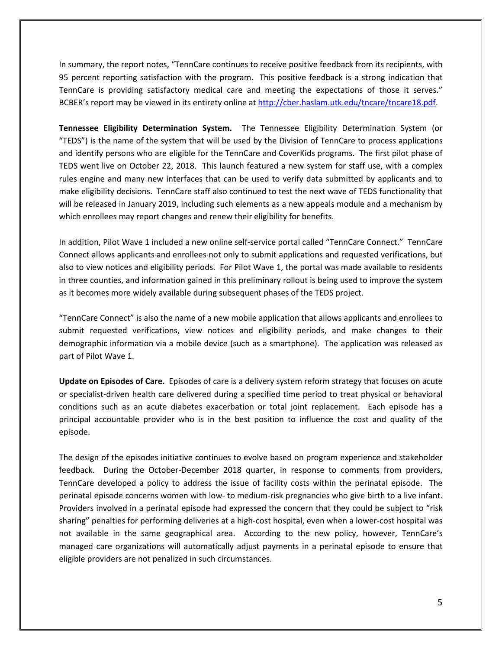In summary, the report notes, "TennCare continues to receive positive feedback from its recipients, with 95 percent reporting satisfaction with the program. This positive feedback is a strong indication that TennCare is providing satisfactory medical care and meeting the expectations of those it serves." BCBER's report may be viewed in its entirety online at [http://cber.haslam.utk.edu/tncare/tncare18.pdf.](http://cber.haslam.utk.edu/tncare/tncare18.pdf)

**Tennessee Eligibility Determination System.** The Tennessee Eligibility Determination System (or "TEDS") is the name of the system that will be used by the Division of TennCare to process applications and identify persons who are eligible for the TennCare and CoverKids programs. The first pilot phase of TEDS went live on October 22, 2018. This launch featured a new system for staff use, with a complex rules engine and many new interfaces that can be used to verify data submitted by applicants and to make eligibility decisions. TennCare staff also continued to test the next wave of TEDS functionality that will be released in January 2019, including such elements as a new appeals module and a mechanism by which enrollees may report changes and renew their eligibility for benefits.

In addition, Pilot Wave 1 included a new online self-service portal called "TennCare Connect." TennCare Connect allows applicants and enrollees not only to submit applications and requested verifications, but also to view notices and eligibility periods. For Pilot Wave 1, the portal was made available to residents in three counties, and information gained in this preliminary rollout is being used to improve the system as it becomes more widely available during subsequent phases of the TEDS project.

"TennCare Connect" is also the name of a new mobile application that allows applicants and enrollees to submit requested verifications, view notices and eligibility periods, and make changes to their demographic information via a mobile device (such as a smartphone). The application was released as part of Pilot Wave 1.

**Update on Episodes of Care.** Episodes of care is a delivery system reform strategy that focuses on acute or specialist-driven health care delivered during a specified time period to treat physical or behavioral conditions such as an acute diabetes exacerbation or total joint replacement. Each episode has a principal accountable provider who is in the best position to influence the cost and quality of the episode.

The design of the episodes initiative continues to evolve based on program experience and stakeholder feedback. During the October-December 2018 quarter, in response to comments from providers, TennCare developed a policy to address the issue of facility costs within the perinatal episode. The perinatal episode concerns women with low- to medium-risk pregnancies who give birth to a live infant. Providers involved in a perinatal episode had expressed the concern that they could be subject to "risk sharing" penalties for performing deliveries at a high-cost hospital, even when a lower-cost hospital was not available in the same geographical area. According to the new policy, however, TennCare's managed care organizations will automatically adjust payments in a perinatal episode to ensure that eligible providers are not penalized in such circumstances.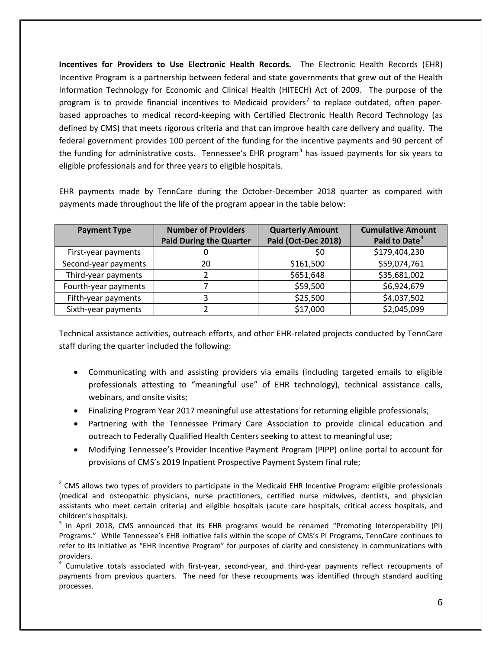**Incentives for Providers to Use Electronic Health Records.** The Electronic Health Records (EHR) Incentive Program is a partnership between federal and state governments that grew out of the Health Information Technology for Economic and Clinical Health (HITECH) Act of 2009. The purpose of the program is to provide financial incentives to Medicaid providers<sup>[2](#page-5-0)</sup> to replace outdated, often paperbased approaches to medical record-keeping with Certified Electronic Health Record Technology (as defined by CMS) that meets rigorous criteria and that can improve health care delivery and quality. The federal government provides 100 percent of the funding for the incentive payments and 90 percent of the funding for administrative costs. Tennessee's EHR program<sup>[3](#page-5-1)</sup> has issued payments for six years to eligible professionals and for three years to eligible hospitals.

EHR payments made by TennCare during the October-December 2018 quarter as compared with payments made throughout the life of the program appear in the table below:

| <b>Payment Type</b>  | <b>Number of Providers</b><br><b>Paid During the Quarter</b> | <b>Quarterly Amount</b><br>Paid (Oct-Dec 2018) | <b>Cumulative Amount</b><br>Paid to Date <sup>4</sup> |
|----------------------|--------------------------------------------------------------|------------------------------------------------|-------------------------------------------------------|
| First-year payments  |                                                              | Ş0                                             | \$179,404,230                                         |
| Second-year payments | 20                                                           | \$161,500                                      | \$59,074,761                                          |
| Third-year payments  |                                                              | \$651,648                                      | \$35,681,002                                          |
| Fourth-year payments |                                                              | \$59,500                                       | \$6,924,679                                           |
| Fifth-year payments  |                                                              | \$25,500                                       | \$4,037,502                                           |
| Sixth-year payments  |                                                              | \$17,000                                       | \$2,045,099                                           |

Technical assistance activities, outreach efforts, and other EHR-related projects conducted by TennCare staff during the quarter included the following:

- Communicating with and assisting providers via emails (including targeted emails to eligible professionals attesting to "meaningful use" of EHR technology), technical assistance calls, webinars, and onsite visits;
- Finalizing Program Year 2017 meaningful use attestations for returning eligible professionals;
- Partnering with the Tennessee Primary Care Association to provide clinical education and outreach to Federally Qualified Health Centers seeking to attest to meaningful use;
- Modifying Tennessee's Provider Incentive Payment Program (PIPP) online portal to account for provisions of CMS's 2019 Inpatient Prospective Payment System final rule;

<span id="page-5-0"></span><sup>&</sup>lt;sup>2</sup> CMS allows two types of providers to participate in the Medicaid EHR Incentive Program: eligible professionals (medical and osteopathic physicians, nurse practitioners, certified nurse midwives, dentists, and physician assistants who meet certain criteria) and eligible hospitals (acute care hospitals, critical access hospitals, and children's hospitals).

<span id="page-5-1"></span> $3$  In April 2018, CMS announced that its EHR programs would be renamed "Promoting Interoperability (PI) Programs." While Tennessee's EHR initiative falls within the scope of CMS's PI Programs, TennCare continues to refer to its initiative as "EHR Incentive Program" for purposes of clarity and consistency in communications with providers.

<span id="page-5-2"></span><sup>4</sup> Cumulative totals associated with first-year, second-year, and third-year payments reflect recoupments of payments from previous quarters. The need for these recoupments was identified through standard auditing processes.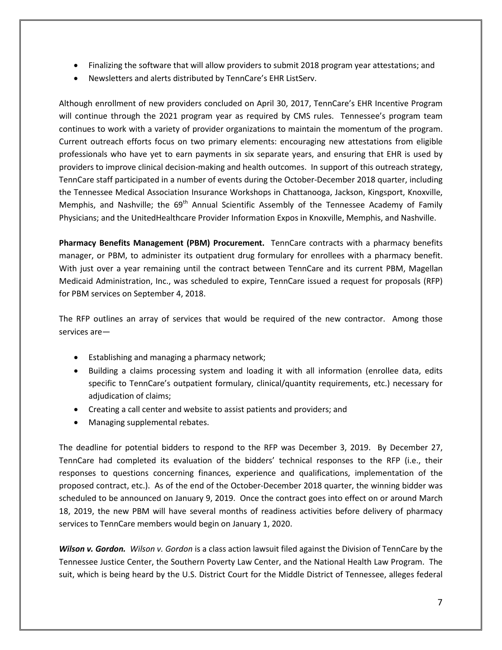- Finalizing the software that will allow providers to submit 2018 program year attestations; and
- Newsletters and alerts distributed by TennCare's EHR ListServ.

Although enrollment of new providers concluded on April 30, 2017, TennCare's EHR Incentive Program will continue through the 2021 program year as required by CMS rules. Tennessee's program team continues to work with a variety of provider organizations to maintain the momentum of the program. Current outreach efforts focus on two primary elements: encouraging new attestations from eligible professionals who have yet to earn payments in six separate years, and ensuring that EHR is used by providers to improve clinical decision-making and health outcomes. In support of this outreach strategy, TennCare staff participated in a number of events during the October-December 2018 quarter, including the Tennessee Medical Association Insurance Workshops in Chattanooga, Jackson, Kingsport, Knoxville, Memphis, and Nashville; the  $69<sup>th</sup>$  Annual Scientific Assembly of the Tennessee Academy of Family Physicians; and the UnitedHealthcare Provider Information Expos in Knoxville, Memphis, and Nashville.

**Pharmacy Benefits Management (PBM) Procurement.** TennCare contracts with a pharmacy benefits manager, or PBM, to administer its outpatient drug formulary for enrollees with a pharmacy benefit. With just over a year remaining until the contract between TennCare and its current PBM, Magellan Medicaid Administration, Inc., was scheduled to expire, TennCare issued a request for proposals (RFP) for PBM services on September 4, 2018.

The RFP outlines an array of services that would be required of the new contractor. Among those services are—

- Establishing and managing a pharmacy network;
- Building a claims processing system and loading it with all information (enrollee data, edits specific to TennCare's outpatient formulary, clinical/quantity requirements, etc.) necessary for adjudication of claims;
- Creating a call center and website to assist patients and providers; and
- Managing supplemental rebates.

The deadline for potential bidders to respond to the RFP was December 3, 2019. By December 27, TennCare had completed its evaluation of the bidders' technical responses to the RFP (i.e., their responses to questions concerning finances, experience and qualifications, implementation of the proposed contract, etc.). As of the end of the October-December 2018 quarter, the winning bidder was scheduled to be announced on January 9, 2019. Once the contract goes into effect on or around March 18, 2019, the new PBM will have several months of readiness activities before delivery of pharmacy services to TennCare members would begin on January 1, 2020.

*Wilson v. Gordon. Wilson v. Gordon* is a class action lawsuit filed against the Division of TennCare by the Tennessee Justice Center, the Southern Poverty Law Center, and the National Health Law Program. The suit, which is being heard by the U.S. District Court for the Middle District of Tennessee, alleges federal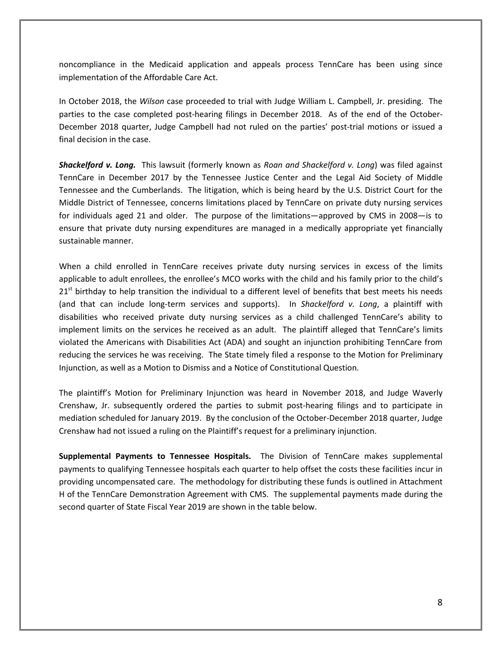noncompliance in the Medicaid application and appeals process TennCare has been using since implementation of the Affordable Care Act.

In October 2018, the *Wilson* case proceeded to trial with Judge William L. Campbell, Jr. presiding. The parties to the case completed post-hearing filings in December 2018. As of the end of the October-December 2018 quarter, Judge Campbell had not ruled on the parties' post-trial motions or issued a final decision in the case.

*Shackelford v. Long.*This lawsuit (formerly known as *Roan and Shackelford v. Long*) was filed against TennCare in December 2017 by the Tennessee Justice Center and the Legal Aid Society of Middle Tennessee and the Cumberlands. The litigation, which is being heard by the U.S. District Court for the Middle District of Tennessee, concerns limitations placed by TennCare on private duty nursing services for individuals aged 21 and older. The purpose of the limitations—approved by CMS in 2008—is to ensure that private duty nursing expenditures are managed in a medically appropriate yet financially sustainable manner.

When a child enrolled in TennCare receives private duty nursing services in excess of the limits applicable to adult enrollees, the enrollee's MCO works with the child and his family prior to the child's  $21<sup>st</sup>$  birthday to help transition the individual to a different level of benefits that best meets his needs (and that can include long-term services and supports). In *Shackelford v. Long*, a plaintiff with disabilities who received private duty nursing services as a child challenged TennCare's ability to implement limits on the services he received as an adult. The plaintiff alleged that TennCare's limits violated the Americans with Disabilities Act (ADA) and sought an injunction prohibiting TennCare from reducing the services he was receiving. The State timely filed a response to the Motion for Preliminary Injunction, as well as a Motion to Dismiss and a Notice of Constitutional Question.

The plaintiff's Motion for Preliminary Injunction was heard in November 2018, and Judge Waverly Crenshaw, Jr. subsequently ordered the parties to submit post-hearing filings and to participate in mediation scheduled for January 2019. By the conclusion of the October-December 2018 quarter, Judge Crenshaw had not issued a ruling on the Plaintiff's request for a preliminary injunction.

**Supplemental Payments to Tennessee Hospitals.** The Division of TennCare makes supplemental payments to qualifying Tennessee hospitals each quarter to help offset the costs these facilities incur in providing uncompensated care. The methodology for distributing these funds is outlined in Attachment H of the TennCare Demonstration Agreement with CMS. The supplemental payments made during the second quarter of State Fiscal Year 2019 are shown in the table below.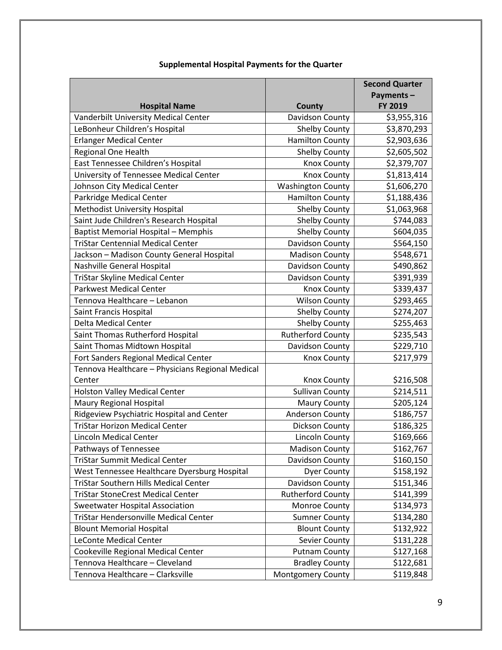|                                                  |                          | <b>Second Quarter</b> |
|--------------------------------------------------|--------------------------|-----------------------|
|                                                  |                          | Payments-             |
| <b>Hospital Name</b>                             | County                   | FY 2019               |
| Vanderbilt University Medical Center             | Davidson County          | \$3,955,316           |
| LeBonheur Children's Hospital                    | <b>Shelby County</b>     | \$3,870,293           |
| <b>Erlanger Medical Center</b>                   | <b>Hamilton County</b>   | \$2,903,636           |
| Regional One Health                              | <b>Shelby County</b>     | \$2,605,502           |
| East Tennessee Children's Hospital               | <b>Knox County</b>       | \$2,379,707           |
| University of Tennessee Medical Center           | <b>Knox County</b>       | \$1,813,414           |
| Johnson City Medical Center                      | <b>Washington County</b> | \$1,606,270           |
| Parkridge Medical Center                         | <b>Hamilton County</b>   | \$1,188,436           |
| <b>Methodist University Hospital</b>             | <b>Shelby County</b>     | \$1,063,968           |
| Saint Jude Children's Research Hospital          | <b>Shelby County</b>     | \$744,083             |
| <b>Baptist Memorial Hospital - Memphis</b>       | <b>Shelby County</b>     | \$604,035             |
| <b>TriStar Centennial Medical Center</b>         | Davidson County          | \$564,150             |
| Jackson - Madison County General Hospital        | <b>Madison County</b>    | \$548,671             |
| Nashville General Hospital                       | Davidson County          | \$490,862             |
| <b>TriStar Skyline Medical Center</b>            | Davidson County          | \$391,939             |
| <b>Parkwest Medical Center</b>                   | <b>Knox County</b>       | \$339,437             |
| Tennova Healthcare - Lebanon                     | <b>Wilson County</b>     | \$293,465             |
| Saint Francis Hospital                           | <b>Shelby County</b>     | \$274,207             |
| <b>Delta Medical Center</b>                      | <b>Shelby County</b>     | \$255,463             |
| Saint Thomas Rutherford Hospital                 | <b>Rutherford County</b> | \$235,543             |
| Saint Thomas Midtown Hospital                    | Davidson County          | \$229,710             |
| Fort Sanders Regional Medical Center             | <b>Knox County</b>       | \$217,979             |
| Tennova Healthcare - Physicians Regional Medical |                          |                       |
| Center                                           | <b>Knox County</b>       | \$216,508             |
| Holston Valley Medical Center                    | <b>Sullivan County</b>   | \$214,511             |
| Maury Regional Hospital                          | <b>Maury County</b>      | \$205,124             |
| Ridgeview Psychiatric Hospital and Center        | Anderson County          | \$186,757             |
| <b>TriStar Horizon Medical Center</b>            | <b>Dickson County</b>    | \$186,325             |
| Lincoln Medical Center                           | Lincoln County           | \$169,666             |
| Pathways of Tennessee                            | <b>Madison County</b>    | $\overline{$}162,767$ |
| <b>TriStar Summit Medical Center</b>             | Davidson County          | \$160,150             |
| West Tennessee Healthcare Dyersburg Hospital     | <b>Dyer County</b>       | \$158,192             |
| TriStar Southern Hills Medical Center            | Davidson County          | \$151,346             |
| <b>TriStar StoneCrest Medical Center</b>         | <b>Rutherford County</b> | \$141,399             |
| Sweetwater Hospital Association                  | Monroe County            | \$134,973             |
| <b>TriStar Hendersonville Medical Center</b>     | <b>Sumner County</b>     | \$134,280             |
| <b>Blount Memorial Hospital</b>                  | <b>Blount County</b>     | \$132,922             |
| LeConte Medical Center                           | Sevier County            | \$131,228             |
| Cookeville Regional Medical Center               | <b>Putnam County</b>     | \$127,168             |
| Tennova Healthcare - Cleveland                   | <b>Bradley County</b>    | \$122,681             |
| Tennova Healthcare - Clarksville                 | Montgomery County        | \$119,848             |

#### **Supplemental Hospital Payments for the Quarter**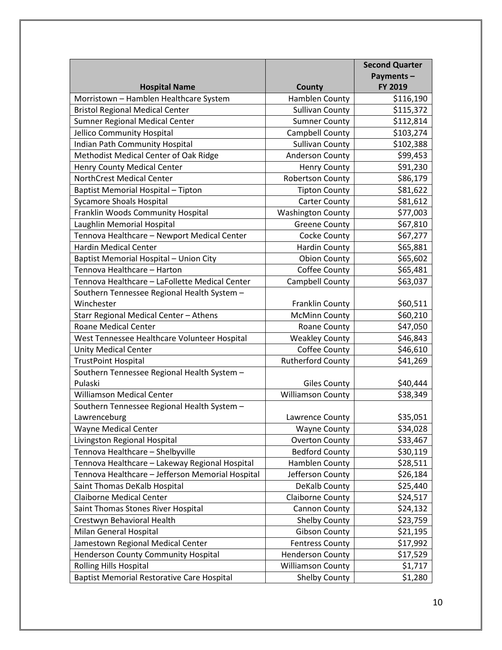|                                                   |                          | <b>Second Quarter</b> |
|---------------------------------------------------|--------------------------|-----------------------|
|                                                   |                          | Payments-             |
| <b>Hospital Name</b>                              | County                   | FY 2019               |
| Morristown - Hamblen Healthcare System            | Hamblen County           | \$116,190             |
| <b>Bristol Regional Medical Center</b>            | <b>Sullivan County</b>   | \$115,372             |
| <b>Sumner Regional Medical Center</b>             | <b>Sumner County</b>     | \$112,814             |
| Jellico Community Hospital                        | Campbell County          | \$103,274             |
| Indian Path Community Hospital                    | <b>Sullivan County</b>   | \$102,388             |
| Methodist Medical Center of Oak Ridge             | Anderson County          | \$99,453              |
| <b>Henry County Medical Center</b>                | <b>Henry County</b>      | \$91,230              |
| NorthCrest Medical Center                         | <b>Robertson County</b>  | \$86,179              |
| Baptist Memorial Hospital - Tipton                | <b>Tipton County</b>     | \$81,622              |
| <b>Sycamore Shoals Hospital</b>                   | <b>Carter County</b>     | \$81,612              |
| Franklin Woods Community Hospital                 | <b>Washington County</b> | \$77,003              |
| Laughlin Memorial Hospital                        | <b>Greene County</b>     | \$67,810              |
| Tennova Healthcare - Newport Medical Center       | Cocke County             | \$67,277              |
| <b>Hardin Medical Center</b>                      | <b>Hardin County</b>     | \$65,881              |
| Baptist Memorial Hospital - Union City            | <b>Obion County</b>      | \$65,602              |
| Tennova Healthcare - Harton                       | Coffee County            | \$65,481              |
| Tennova Healthcare - LaFollette Medical Center    | Campbell County          | \$63,037              |
| Southern Tennessee Regional Health System -       |                          |                       |
| Winchester                                        | <b>Franklin County</b>   | \$60,511              |
| Starr Regional Medical Center - Athens            | <b>McMinn County</b>     | \$60,210              |
| <b>Roane Medical Center</b>                       | Roane County             | \$47,050              |
| West Tennessee Healthcare Volunteer Hospital      | <b>Weakley County</b>    | \$46,843              |
| <b>Unity Medical Center</b>                       | Coffee County            | \$46,610              |
| <b>TrustPoint Hospital</b>                        | <b>Rutherford County</b> | \$41,269              |
| Southern Tennessee Regional Health System -       |                          |                       |
| Pulaski                                           | <b>Giles County</b>      | \$40,444              |
| Williamson Medical Center                         | <b>Williamson County</b> | \$38,349              |
| Southern Tennessee Regional Health System -       |                          |                       |
| Lawrenceburg                                      | Lawrence County          | \$35,051              |
| <b>Wayne Medical Center</b>                       | <b>Wayne County</b>      | \$34,028              |
| Livingston Regional Hospital                      | <b>Overton County</b>    | \$33,467              |
| Tennova Healthcare - Shelbyville                  | <b>Bedford County</b>    | \$30,119              |
| Tennova Healthcare - Lakeway Regional Hospital    | Hamblen County           | \$28,511              |
| Tennova Healthcare - Jefferson Memorial Hospital  | Jefferson County         | \$26,184              |
| Saint Thomas DeKalb Hospital                      | DeKalb County            | \$25,440              |
| <b>Claiborne Medical Center</b>                   | <b>Claiborne County</b>  | \$24,517              |
| Saint Thomas Stones River Hospital                | Cannon County            | \$24,132              |
| Crestwyn Behavioral Health                        | <b>Shelby County</b>     | \$23,759              |
| Milan General Hospital                            | <b>Gibson County</b>     | \$21,195              |
| Jamestown Regional Medical Center                 | <b>Fentress County</b>   | \$17,992              |
| Henderson County Community Hospital               | <b>Henderson County</b>  | \$17,529              |
| <b>Rolling Hills Hospital</b>                     | <b>Williamson County</b> | \$1,717               |
| <b>Baptist Memorial Restorative Care Hospital</b> | <b>Shelby County</b>     | \$1,280               |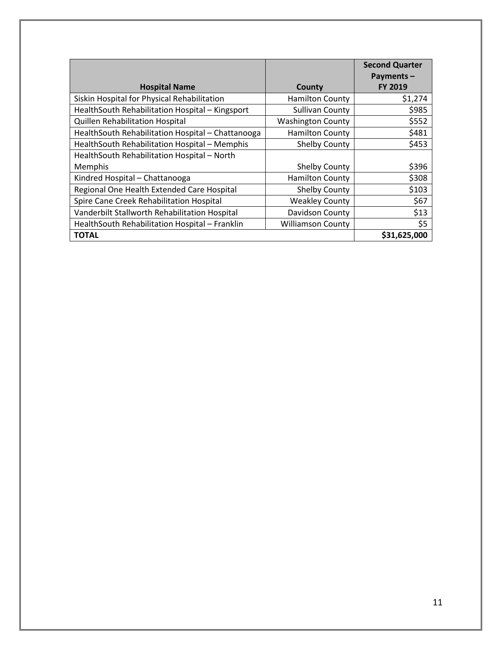|                                                   |                          | <b>Second Quarter</b>       |
|---------------------------------------------------|--------------------------|-----------------------------|
| <b>Hospital Name</b>                              | County                   | Payments-<br><b>FY 2019</b> |
| Siskin Hospital for Physical Rehabilitation       | <b>Hamilton County</b>   | \$1,274                     |
| HealthSouth Rehabilitation Hospital - Kingsport   | <b>Sullivan County</b>   | \$985                       |
| Quillen Rehabilitation Hospital                   | <b>Washington County</b> | \$552                       |
| HealthSouth Rehabilitation Hospital - Chattanooga | <b>Hamilton County</b>   | \$481                       |
| HealthSouth Rehabilitation Hospital - Memphis     | Shelby County            | \$453                       |
| HealthSouth Rehabilitation Hospital - North       |                          |                             |
| Memphis                                           | Shelby County            | \$396                       |
| Kindred Hospital - Chattanooga                    | <b>Hamilton County</b>   | \$308                       |
| Regional One Health Extended Care Hospital        | <b>Shelby County</b>     | \$103                       |
| Spire Cane Creek Rehabilitation Hospital          | <b>Weakley County</b>    | \$67                        |
| Vanderbilt Stallworth Rehabilitation Hospital     | Davidson County          | \$13                        |
| HealthSouth Rehabilitation Hospital - Franklin    | <b>Williamson County</b> | \$5                         |
| <b>TOTAL</b>                                      |                          | \$31,625,000                |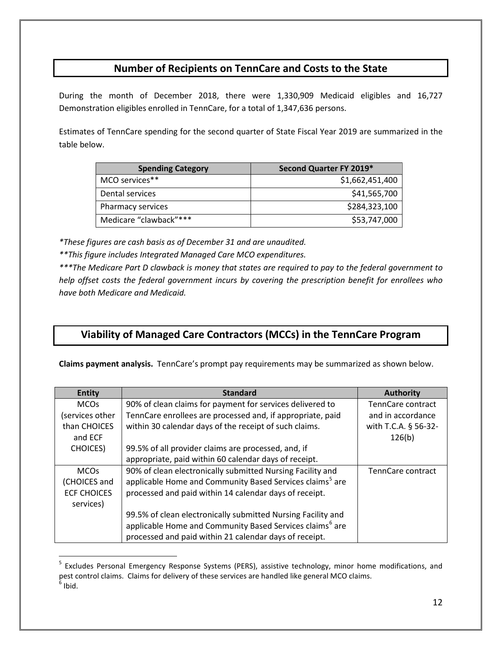#### **Number of Recipients on TennCare and Costs to the State**

During the month of December 2018, there were 1,330,909 Medicaid eligibles and 16,727 Demonstration eligibles enrolled in TennCare, for a total of 1,347,636 persons.

Estimates of TennCare spending for the second quarter of State Fiscal Year 2019 are summarized in the table below.

| <b>Spending Category</b> | Second Quarter FY 2019* |
|--------------------------|-------------------------|
| MCO services**           | \$1,662,451,400         |
| Dental services          | \$41,565,700            |
| Pharmacy services        | \$284,323,100           |
| Medicare "clawback"***   | \$53,747,000            |

*\*These figures are cash basis as of December 31 and are unaudited.*

*\*\*This figure includes Integrated Managed Care MCO expenditures.*

 $\overline{a}$ 

*\*\*\*The Medicare Part D clawback is money that states are required to pay to the federal government to help offset costs the federal government incurs by covering the prescription benefit for enrollees who have both Medicare and Medicaid.*

### **Viability of Managed Care Contractors (MCCs) in the TennCare Program**

**Claims payment analysis.** TennCare's prompt pay requirements may be summarized as shown below.

| <b>Entity</b>      | <b>Standard</b>                                                      | <b>Authority</b>     |
|--------------------|----------------------------------------------------------------------|----------------------|
| <b>MCOs</b>        | 90% of clean claims for payment for services delivered to            | TennCare contract    |
| (services other    | TennCare enrollees are processed and, if appropriate, paid           | and in accordance    |
| than CHOICES       | within 30 calendar days of the receipt of such claims.               | with T.C.A. § 56-32- |
| and ECF            |                                                                      | 126(b)               |
| <b>CHOICES</b> )   | 99.5% of all provider claims are processed, and, if                  |                      |
|                    | appropriate, paid within 60 calendar days of receipt.                |                      |
| <b>MCOs</b>        | 90% of clean electronically submitted Nursing Facility and           | TennCare contract    |
| (CHOICES and       | applicable Home and Community Based Services claims <sup>5</sup> are |                      |
| <b>ECF CHOICES</b> | processed and paid within 14 calendar days of receipt.               |                      |
| services)          |                                                                      |                      |
|                    | 99.5% of clean electronically submitted Nursing Facility and         |                      |
|                    | applicable Home and Community Based Services claims <sup>6</sup> are |                      |
|                    | processed and paid within 21 calendar days of receipt.               |                      |

<span id="page-11-1"></span><span id="page-11-0"></span><sup>&</sup>lt;sup>5</sup> Excludes Personal Emergency Response Systems (PERS), assistive technology, minor home modifications, and pest control claims. Claims for delivery of these services are handled like general MCO claims.  $<sup>6</sup>$  Ibid.</sup>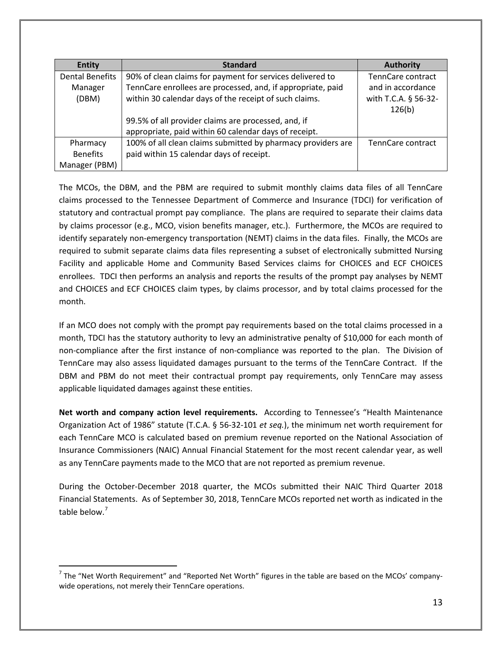| <b>Entity</b>          | <b>Standard</b>                                              | <b>Authority</b>               |
|------------------------|--------------------------------------------------------------|--------------------------------|
| <b>Dental Benefits</b> | 90% of clean claims for payment for services delivered to    | TennCare contract              |
| Manager                | TennCare enrollees are processed, and, if appropriate, paid  | and in accordance              |
| (DBM)                  | within 30 calendar days of the receipt of such claims.       | with T.C.A. § 56-32-<br>126(b) |
|                        | 99.5% of all provider claims are processed, and, if          |                                |
|                        | appropriate, paid within 60 calendar days of receipt.        |                                |
| Pharmacy               | 100% of all clean claims submitted by pharmacy providers are | TennCare contract              |
| <b>Benefits</b>        | paid within 15 calendar days of receipt.                     |                                |
| Manager (PBM)          |                                                              |                                |

The MCOs, the DBM, and the PBM are required to submit monthly claims data files of all TennCare claims processed to the Tennessee Department of Commerce and Insurance (TDCI) for verification of statutory and contractual prompt pay compliance. The plans are required to separate their claims data by claims processor (e.g., MCO, vision benefits manager, etc.). Furthermore, the MCOs are required to identify separately non-emergency transportation (NEMT) claims in the data files. Finally, the MCOs are required to submit separate claims data files representing a subset of electronically submitted Nursing Facility and applicable Home and Community Based Services claims for CHOICES and ECF CHOICES enrollees. TDCI then performs an analysis and reports the results of the prompt pay analyses by NEMT and CHOICES and ECF CHOICES claim types, by claims processor, and by total claims processed for the month.

If an MCO does not comply with the prompt pay requirements based on the total claims processed in a month, TDCI has the statutory authority to levy an administrative penalty of \$10,000 for each month of non-compliance after the first instance of non-compliance was reported to the plan. The Division of TennCare may also assess liquidated damages pursuant to the terms of the TennCare Contract. If the DBM and PBM do not meet their contractual prompt pay requirements, only TennCare may assess applicable liquidated damages against these entities.

**Net worth and company action level requirements.** According to Tennessee's "Health Maintenance Organization Act of 1986" statute (T.C.A. § 56-32-101 *et seq.*), the minimum net worth requirement for each TennCare MCO is calculated based on premium revenue reported on the National Association of Insurance Commissioners (NAIC) Annual Financial Statement for the most recent calendar year, as well as any TennCare payments made to the MCO that are not reported as premium revenue.

During the October-December 2018 quarter, the MCOs submitted their NAIC Third Quarter 2018 Financial Statements. As of September 30, 2018, TennCare MCOs reported net worth as indicated in the table below.<sup>[7](#page-12-0)</sup>

<span id="page-12-0"></span> $<sup>7</sup>$  The "Net Worth Requirement" and "Reported Net Worth" figures in the table are based on the MCOs' company-</sup> wide operations, not merely their TennCare operations.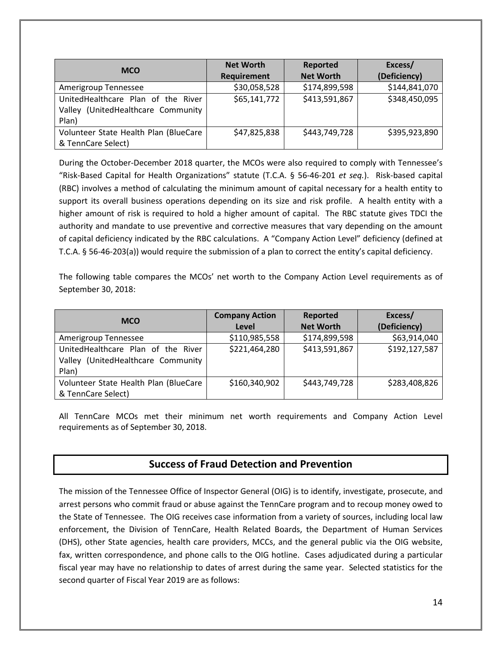| <b>MCO</b>                            | <b>Net Worth</b> | Reported         | Excess/       |
|---------------------------------------|------------------|------------------|---------------|
|                                       | Requirement      | <b>Net Worth</b> | (Deficiency)  |
| Amerigroup Tennessee                  | \$30,058,528     | \$174,899,598    | \$144,841,070 |
| UnitedHealthcare Plan of the River    | \$65,141,772     | \$413,591,867    | \$348,450,095 |
| Valley (UnitedHealthcare Community    |                  |                  |               |
| Plan)                                 |                  |                  |               |
| Volunteer State Health Plan (BlueCare | \$47,825,838     | \$443,749,728    | \$395,923,890 |
| & TennCare Select)                    |                  |                  |               |

During the October-December 2018 quarter, the MCOs were also required to comply with Tennessee's "Risk-Based Capital for Health Organizations" statute (T.C.A. § 56-46-201 *et seq.*). Risk-based capital (RBC) involves a method of calculating the minimum amount of capital necessary for a health entity to support its overall business operations depending on its size and risk profile. A health entity with a higher amount of risk is required to hold a higher amount of capital. The RBC statute gives TDCI the authority and mandate to use preventive and corrective measures that vary depending on the amount of capital deficiency indicated by the RBC calculations. A "Company Action Level" deficiency (defined at T.C.A. § 56-46-203(a)) would require the submission of a plan to correct the entity's capital deficiency.

The following table compares the MCOs' net worth to the Company Action Level requirements as of September 30, 2018:

| <b>MCO</b>                            | <b>Company Action</b> | Reported         | Excess/       |
|---------------------------------------|-----------------------|------------------|---------------|
|                                       | Level                 | <b>Net Worth</b> | (Deficiency)  |
| Amerigroup Tennessee                  | \$110,985,558         | \$174,899,598    | \$63,914,040  |
| UnitedHealthcare Plan of the River    | \$221,464,280         | \$413,591,867    | \$192,127,587 |
| Valley (UnitedHealthcare Community    |                       |                  |               |
| Plan)                                 |                       |                  |               |
| Volunteer State Health Plan (BlueCare | \$160,340,902         | \$443,749,728    | \$283,408,826 |
| & TennCare Select)                    |                       |                  |               |

All TennCare MCOs met their minimum net worth requirements and Company Action Level requirements as of September 30, 2018.

#### **Success of Fraud Detection and Prevention**

The mission of the Tennessee Office of Inspector General (OIG) is to identify, investigate, prosecute, and arrest persons who commit fraud or abuse against the TennCare program and to recoup money owed to the State of Tennessee.The OIG receives case information from a variety of sources, including local law enforcement, the Division of TennCare, Health Related Boards, the Department of Human Services (DHS), other State agencies, health care providers, MCCs, and the general public via the OIG website, fax, written correspondence, and phone calls to the OIG hotline. Cases adjudicated during a particular fiscal year may have no relationship to dates of arrest during the same year. Selected statistics for the second quarter of Fiscal Year 2019 are as follows: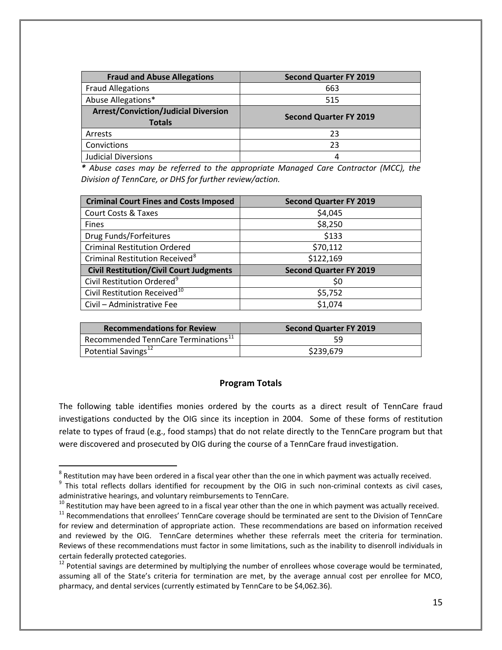| <b>Fraud and Abuse Allegations</b>                           | <b>Second Quarter FY 2019</b> |
|--------------------------------------------------------------|-------------------------------|
| <b>Fraud Allegations</b>                                     | 663                           |
| Abuse Allegations*                                           | 515                           |
| <b>Arrest/Conviction/Judicial Diversion</b><br><b>Totals</b> | <b>Second Quarter FY 2019</b> |
| Arrests                                                      | 23                            |
| Convictions                                                  | 23                            |
| <b>Judicial Diversions</b>                                   | 4                             |

*\* Abuse cases may be referred to the appropriate Managed Care Contractor (MCC), the Division of TennCare, or DHS for further review/action.*

| <b>Criminal Court Fines and Costs Imposed</b>  | <b>Second Quarter FY 2019</b> |
|------------------------------------------------|-------------------------------|
| <b>Court Costs &amp; Taxes</b>                 | \$4,045                       |
| <b>Fines</b>                                   | \$8,250                       |
| Drug Funds/Forfeitures                         | \$133                         |
| <b>Criminal Restitution Ordered</b>            | \$70,112                      |
| Criminal Restitution Received <sup>8</sup>     | \$122,169                     |
| <b>Civil Restitution/Civil Court Judgments</b> | <b>Second Quarter FY 2019</b> |
| Civil Restitution Ordered <sup>9</sup>         | \$0                           |
| Civil Restitution Received <sup>10</sup>       | \$5,752                       |
| Civil - Administrative Fee                     | \$1,074                       |

| <b>Recommendations for Review</b>         | <b>Second Quarter FY 2019</b> |
|-------------------------------------------|-------------------------------|
| Recommended TennCare Terminations $^{11}$ | 59                            |
| Potential Savings $^{12}$                 | \$239,679                     |

#### **Program Totals**

The following table identifies monies ordered by the courts as a direct result of TennCare fraud investigations conducted by the OIG since its inception in 2004. Some of these forms of restitution relate to types of fraud (e.g., food stamps) that do not relate directly to the TennCare program but that were discovered and prosecuted by OIG during the course of a TennCare fraud investigation.

<span id="page-14-1"></span><span id="page-14-0"></span><sup>&</sup>lt;sup>8</sup> Restitution may have been ordered in a fiscal year other than the one in which payment was actually received.<br><sup>9</sup> This total reflects dollars identified for recoupment by the OIG in such non-criminal contexts as civil administrative hearings, and voluntary reimbursements to TennCare.<br> $^{10}$  Restitution may have been agreed to in a fiscal year other than the one in which payment was actually received.

<span id="page-14-3"></span><span id="page-14-2"></span><sup>&</sup>lt;sup>11</sup> Recommendations that enrollees' TennCare coverage should be terminated are sent to the Division of TennCare for review and determination of appropriate action. These recommendations are based on information received and reviewed by the OIG. TennCare determines whether these referrals meet the criteria for termination. Reviews of these recommendations must factor in some limitations, such as the inability to disenroll individuals in certain federally protected categories.

<span id="page-14-4"></span> $^{12}$  Potential savings are determined by multiplying the number of enrollees whose coverage would be terminated, assuming all of the State's criteria for termination are met, by the average annual cost per enrollee for MCO, pharmacy, and dental services (currently estimated by TennCare to be \$4,062.36).